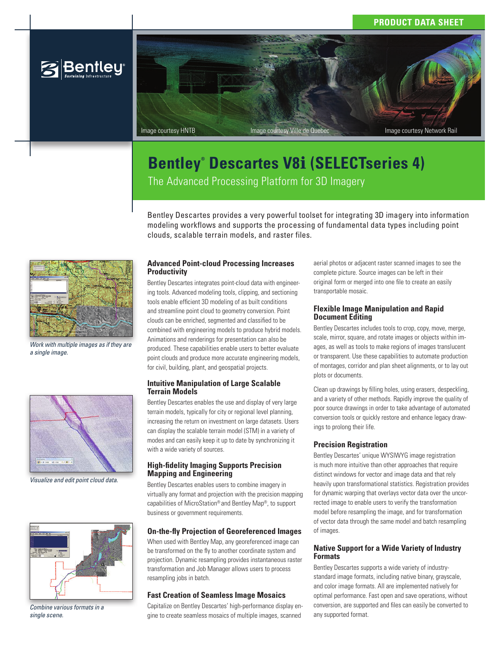# **PRODUCT DATA SHEET**



# **Bentley® Descartes V8***i* **(SELECTseries 4)** The Advanced Processing Platform for 3D Imagery

Bentley Descartes provides a very powerful toolset for integrating 3D imagery into information modeling workflows and supports the processing of fundamental data types including point clouds, scalable terrain models, and raster files.



*Work with multiple images as if they are a single image.*



*Visualize and edit point cloud data.*



*Combine various formats in a single scene.*

# **Advanced Point-cloud Processing Increases Productivity**

Bentley Descartes integrates point-cloud data with engineering tools. Advanced modeling tools, clipping, and sectioning tools enable efficient 3D modeling of as built conditions and streamline point cloud to geometry conversion. Point clouds can be enriched, segmented and classified to be combined with engineering models to produce hybrid models. Animations and renderings for presentation can also be produced. These capabilities enable users to better evaluate point clouds and produce more accurate engineering models, for civil, building, plant, and geospatial projects.

# **Intuitive Manipulation of Large Scalable Terrain Models**

Bentley Descartes enables the use and display of very large terrain models, typically for city or regional level planning, increasing the return on investment on large datasets. Users can display the scalable terrain model (STM) in a variety of modes and can easily keep it up to date by synchronizing it with a wide variety of sources.

# **High-fidelity Imaging Supports Precision Mapping and Engineering**

Bentley Descartes enables users to combine imagery in virtually any format and projection with the precision mapping capabilities of MicroStation® and Bentley Map®, to support business or government requirements.

# **On-the-fly Projection of Georeferenced Images**

When used with Bentley Map, any georeferenced image can be transformed on the fly to another coordinate system and projection. Dynamic resampling provides instantaneous raster transformation and Job Manager allows users to process resampling jobs in batch.

# **Fast Creation of Seamless Image Mosaics**

Capitalize on Bentley Descartes' high-performance display engine to create seamless mosaics of multiple images, scanned

aerial photos or adjacent raster scanned images to see the complete picture. Source images can be left in their original form or merged into one file to create an easily transportable mosaic.

#### **Flexible Image Manipulation and Rapid Document Editing**

Bentley Descartes includes tools to crop, copy, move, merge, scale, mirror, square, and rotate images or objects within images, as well as tools to make regions of images translucent or transparent. Use these capabilities to automate production of montages, corridor and plan sheet alignments, or to lay out plots or documents.

Clean up drawings by filling holes, using erasers, despeckling, and a variety of other methods. Rapidly improve the quality of poor source drawings in order to take advantage of automated conversion tools or quickly restore and enhance legacy drawings to prolong their life.

# **Precision Registration**

Bentley Descartes' unique WYSIWYG image registration is much more intuitive than other approaches that require distinct windows for vector and image data and that rely heavily upon transformational statistics. Registration provides for dynamic warping that overlays vector data over the uncorrected image to enable users to verify the transformation model before resampling the image, and for transformation of vector data through the same model and batch resampling of images.

# **Native Support for a Wide Variety of Industry Formats**

Bentley Descartes supports a wide variety of industrystandard image formats, including native binary, grayscale, and color image formats. All are implemented natively for optimal performance. Fast open and save operations, without conversion, are supported and files can easily be converted to any supported format.